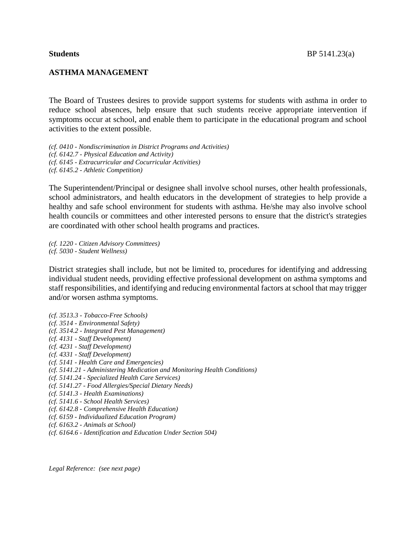#### **ASTHMA MANAGEMENT**

The Board of Trustees desires to provide support systems for students with asthma in order to reduce school absences, help ensure that such students receive appropriate intervention if symptoms occur at school, and enable them to participate in the educational program and school activities to the extent possible.

*(cf. 0410 - Nondiscrimination in District Programs and Activities) (cf. 6142.7 - Physical Education and Activity) (cf. 6145 - Extracurricular and Cocurricular Activities) (cf. 6145.2 - Athletic Competition)*

The Superintendent/Principal or designee shall involve school nurses, other health professionals, school administrators, and health educators in the development of strategies to help provide a healthy and safe school environment for students with asthma. He/she may also involve school health councils or committees and other interested persons to ensure that the district's strategies are coordinated with other school health programs and practices.

*(cf. 1220 - Citizen Advisory Committees) (cf. 5030 - Student Wellness)*

District strategies shall include, but not be limited to, procedures for identifying and addressing individual student needs, providing effective professional development on asthma symptoms and staff responsibilities, and identifying and reducing environmental factors at school that may trigger and/or worsen asthma symptoms.

*(cf. 3513.3 - Tobacco-Free Schools) (cf. 3514 - Environmental Safety) (cf. 3514.2 - Integrated Pest Management) (cf. 4131 - Staff Development) (cf. 4231 - Staff Development) (cf. 4331 - Staff Development) (cf. 5141 - Health Care and Emergencies) (cf. 5141.21 - Administering Medication and Monitoring Health Conditions) (cf. 5141.24 - Specialized Health Care Services) (cf. 5141.27 - Food Allergies/Special Dietary Needs) (cf. 5141.3 - Health Examinations) (cf. 5141.6 - School Health Services) (cf. 6142.8 - Comprehensive Health Education) (cf. 6159 - Individualized Education Program) (cf. 6163.2 - Animals at School) (cf. 6164.6 - Identification and Education Under Section 504)*

*Legal Reference: (see next page)*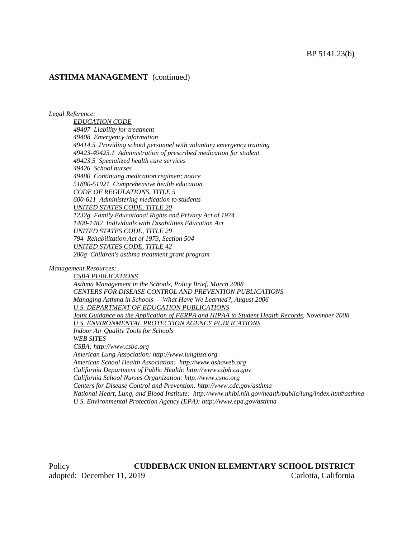#### **ASTHMA MANAGEMENT** (continued)

#### *Legal Reference:*

*EDUCATION CODE 49407 Liability for treatment 49408 Emergency information 49414.5 Providing school personnel with voluntary emergency training 49423-49423.1 Administration of prescribed medication for student 49423.5 Specialized health care services 49426 School nurses 49480 Continuing medication regimen; notice 51880-51921 Comprehensive health education CODE OF REGULATIONS, TITLE 5 600-611 Administering medication to students UNITED STATES CODE, TITLE 20 1232g Family Educational Rights and Privacy Act of 1974 1400-1482 Individuals with Disabilities Education Act UNITED STATES CODE, TITLE 29 794 Rehabilitation Act of 1973, Section 504 UNITED STATES CODE, TITLE 42*

*280g Children's asthma treatment grant program*

*Management Resources:*

*CSBA PUBLICATIONS Asthma Management in the Schools, Policy Brief, March 2008 CENTERS FOR DISEASE CONTROL AND PREVENTION PUBLICATIONS Managing Asthma in Schools — What Have We Learned?, August 2006 U.S. DEPARTMENT OF EDUCATION PUBLICATIONS Joint Guidance on the Application of FERPA and HIPAA to Student Health Records, November 2008 U.S. ENVIRONMENTAL PROTECTION AGENCY PUBLICATIONS Indoor Air Quality Tools for Schools WEB SITES CSBA: http://www.csba.org American Lung Association: http://www.lungusa.org American School Health Association: http://www.ashaweb.org California Department of Public Health: http://www.cdph.ca.gov California School Nurses Organization: http://www.csno.org Centers for Disease Control and Prevention: http://www.cdc.gov/asthma National Heart, Lung, and Blood Institute: http://www.nhlbi.nih.gov/health/public/lung/index.htm#asthma U.S. Environmental Protection Agency (EPA): http://www.epa.gov/asthma*

Policy **CUDDEBACK UNION ELEMENTARY SCHOOL DISTRICT** adopted: December 11, 2019 Carlotta, California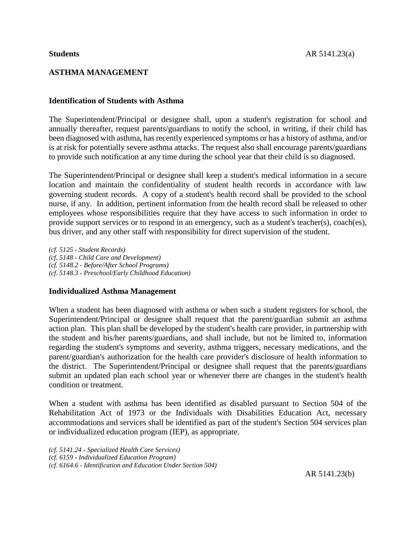# **ASTHMA MANAGEMENT**

# **Identification of Students with Asthma**

The Superintendent/Principal or designee shall, upon a student's registration for school and annually thereafter, request parents/guardians to notify the school, in writing, if their child has been diagnosed with asthma, has recently experienced symptoms or has a history of asthma, and/or is at risk for potentially severe asthma attacks. The request also shall encourage parents/guardians to provide such notification at any time during the school year that their child is so diagnosed.

The Superintendent/Principal or designee shall keep a student's medical information in a secure location and maintain the confidentiality of student health records in accordance with law governing student records. A copy of a student's health record shall be provided to the school nurse, if any. In addition, pertinent information from the health record shall be released to other employees whose responsibilities require that they have access to such information in order to provide support services or to respond in an emergency, such as a student's teacher(s), coach(es), bus driver, and any other staff with responsibility for direct supervision of the student.

*(cf. 5125 - Student Records) (cf. 5148 - Child Care and Development) (cf. 5148.2 - Before/After School Programs) (cf. 5148.3 - Preschool/Early Childhood Education)*

## **Individualized Asthma Management**

When a student has been diagnosed with asthma or when such a student registers for school, the Superintendent/Principal or designee shall request that the parent/guardian submit an asthma action plan. This plan shall be developed by the student's health care provider, in partnership with the student and his/her parents/guardians, and shall include, but not be limited to, information regarding the student's symptoms and severity, asthma triggers, necessary medications, and the parent/guardian's authorization for the health care provider's disclosure of health information to the district. The Superintendent/Principal or designee shall request that the parents/guardians submit an updated plan each school year or whenever there are changes in the student's health condition or treatment.

When a student with asthma has been identified as disabled pursuant to Section 504 of the Rehabilitation Act of 1973 or the Individuals with Disabilities Education Act, necessary accommodations and services shall be identified as part of the student's Section 504 services plan or individualized education program (IEP), as appropriate.

*(cf. 5141.24 - Specialized Health Care Services) (cf. 6159 - Individualized Education Program) (cf. 6164.6 - Identification and Education Under Section 504)*

AR 5141.23(b)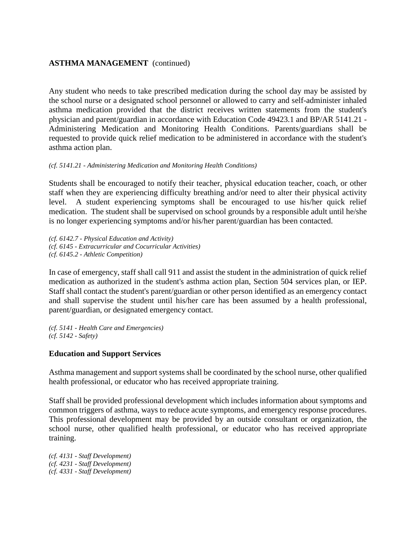# **ASTHMA MANAGEMENT** (continued)

Any student who needs to take prescribed medication during the school day may be assisted by the school nurse or a designated school personnel or allowed to carry and self-administer inhaled asthma medication provided that the district receives written statements from the student's physician and parent/guardian in accordance with Education Code 49423.1 and BP/AR 5141.21 - Administering Medication and Monitoring Health Conditions. Parents/guardians shall be requested to provide quick relief medication to be administered in accordance with the student's asthma action plan.

#### *(cf. 5141.21 - Administering Medication and Monitoring Health Conditions)*

Students shall be encouraged to notify their teacher, physical education teacher, coach, or other staff when they are experiencing difficulty breathing and/or need to alter their physical activity level. A student experiencing symptoms shall be encouraged to use his/her quick relief medication. The student shall be supervised on school grounds by a responsible adult until he/she is no longer experiencing symptoms and/or his/her parent/guardian has been contacted.

*(cf. 6142.7 - Physical Education and Activity) (cf. 6145 - Extracurricular and Cocurricular Activities) (cf. 6145.2 - Athletic Competition)*

In case of emergency, staff shall call 911 and assist the student in the administration of quick relief medication as authorized in the student's asthma action plan, Section 504 services plan, or IEP. Staff shall contact the student's parent/guardian or other person identified as an emergency contact and shall supervise the student until his/her care has been assumed by a health professional, parent/guardian, or designated emergency contact.

*(cf. 5141 - Health Care and Emergencies) (cf. 5142 - Safety)*

## **Education and Support Services**

Asthma management and support systems shall be coordinated by the school nurse, other qualified health professional, or educator who has received appropriate training.

Staff shall be provided professional development which includes information about symptoms and common triggers of asthma, ways to reduce acute symptoms, and emergency response procedures. This professional development may be provided by an outside consultant or organization, the school nurse, other qualified health professional, or educator who has received appropriate training.

*(cf. 4131 - Staff Development) (cf. 4231 - Staff Development) (cf. 4331 - Staff Development)*